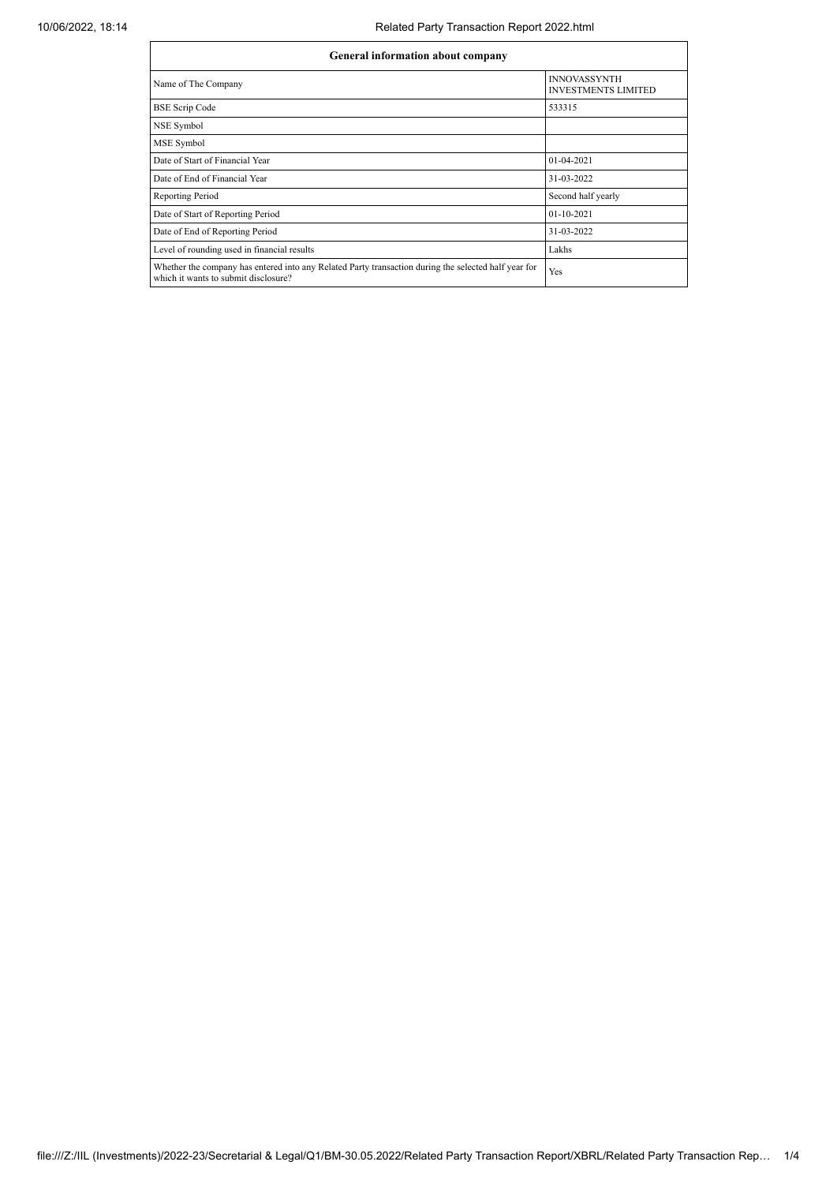| General information about company                                                                                                            |                                                   |  |  |  |  |  |  |
|----------------------------------------------------------------------------------------------------------------------------------------------|---------------------------------------------------|--|--|--|--|--|--|
| Name of The Company                                                                                                                          | <b>INNOVASSYNTH</b><br><b>INVESTMENTS LIMITED</b> |  |  |  |  |  |  |
| <b>BSE Scrip Code</b>                                                                                                                        | 533315                                            |  |  |  |  |  |  |
| NSE Symbol                                                                                                                                   |                                                   |  |  |  |  |  |  |
| MSE Symbol                                                                                                                                   |                                                   |  |  |  |  |  |  |
| Date of Start of Financial Year                                                                                                              | 01-04-2021                                        |  |  |  |  |  |  |
| Date of End of Financial Year                                                                                                                | 31-03-2022                                        |  |  |  |  |  |  |
| Reporting Period                                                                                                                             | Second half yearly                                |  |  |  |  |  |  |
| Date of Start of Reporting Period                                                                                                            | 01-10-2021                                        |  |  |  |  |  |  |
| Date of End of Reporting Period                                                                                                              | 31-03-2022                                        |  |  |  |  |  |  |
| Level of rounding used in financial results                                                                                                  | Lakhs                                             |  |  |  |  |  |  |
| Whether the company has entered into any Related Party transaction during the selected half year for<br>which it wants to submit disclosure? | Yes                                               |  |  |  |  |  |  |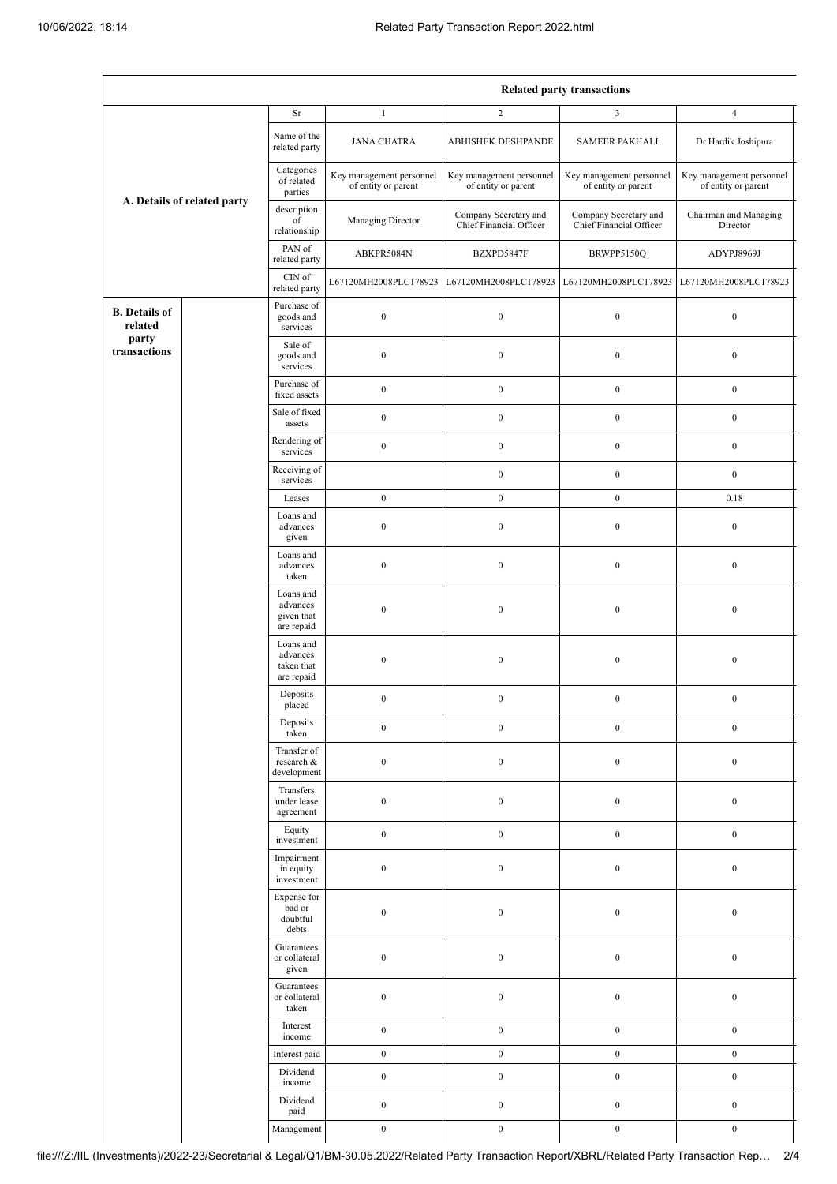|                                 |  | <b>Related party transactions</b>                 |                                                 |                                                  |                                                  |                                                 |  |
|---------------------------------|--|---------------------------------------------------|-------------------------------------------------|--------------------------------------------------|--------------------------------------------------|-------------------------------------------------|--|
|                                 |  | $\rm Sr$                                          | $\mathbf{1}$                                    | $\sqrt{2}$                                       | $\mathfrak{Z}$                                   | $\overline{4}$                                  |  |
| A. Details of related party     |  | Name of the<br>related party                      | <b>JANA CHATRA</b>                              | ABHISHEK DESHPANDE                               | SAMEER PAKHALI                                   | Dr Hardik Joshipura                             |  |
|                                 |  | Categories<br>of related<br>parties               | Key management personnel<br>of entity or parent | Key management personnel<br>of entity or parent  | Key management personnel<br>of entity or parent  | Key management personnel<br>of entity or parent |  |
|                                 |  | description<br>of<br>relationship                 | Managing Director                               | Company Secretary and<br>Chief Financial Officer | Company Secretary and<br>Chief Financial Officer | Chairman and Managing<br>Director               |  |
|                                 |  | PAN of<br>related party                           | ABKPR5084N                                      | BZXPD5847F                                       | BRWPP5150Q                                       | ADYPJ8969J                                      |  |
|                                 |  | $\mathop{\rm CIN}\nolimits$ of<br>related party   | L67120MH2008PLC178923                           | L67120MH2008PLC178923                            | L67120MH2008PLC178923                            | L67120MH2008PLC178923                           |  |
| <b>B.</b> Details of<br>related |  | Purchase of<br>goods and<br>services              | $\boldsymbol{0}$                                | $\boldsymbol{0}$                                 | $\boldsymbol{0}$                                 | $\boldsymbol{0}$                                |  |
| party<br>transactions           |  | Sale of<br>goods and<br>services                  | $\boldsymbol{0}$                                | $\boldsymbol{0}$                                 | $\boldsymbol{0}$                                 | $\boldsymbol{0}$                                |  |
|                                 |  | Purchase of<br>fixed assets                       | $\boldsymbol{0}$                                | $\mathbf{0}$                                     | $\mathbf{0}$                                     | $\boldsymbol{0}$                                |  |
|                                 |  | Sale of fixed<br>assets                           | $\boldsymbol{0}$                                | $\boldsymbol{0}$                                 | $\boldsymbol{0}$                                 | $\boldsymbol{0}$                                |  |
|                                 |  | Rendering of<br>services                          | $\boldsymbol{0}$                                | $\boldsymbol{0}$                                 | $\boldsymbol{0}$                                 | $\boldsymbol{0}$                                |  |
|                                 |  | Receiving of<br>services                          |                                                 | $\boldsymbol{0}$                                 | $\mathbf{0}$                                     | $\boldsymbol{0}$                                |  |
|                                 |  | Leases                                            | $\boldsymbol{0}$                                | $\boldsymbol{0}$                                 | $\mathbf{0}$                                     | 0.18                                            |  |
|                                 |  | Loans and<br>advances<br>given                    | $\boldsymbol{0}$                                | $\boldsymbol{0}$                                 | $\boldsymbol{0}$                                 | $\boldsymbol{0}$                                |  |
|                                 |  | Loans and<br>advances<br>taken                    | $\boldsymbol{0}$                                | $\boldsymbol{0}$                                 | $\boldsymbol{0}$                                 | $\boldsymbol{0}$                                |  |
|                                 |  | Loans and<br>advances<br>given that<br>are repaid | $\boldsymbol{0}$                                | $\boldsymbol{0}$                                 | $\boldsymbol{0}$                                 | $\boldsymbol{0}$                                |  |
|                                 |  | Loans and<br>advances<br>taken that<br>are repaid | $\boldsymbol{0}$                                | $\boldsymbol{0}$                                 | $\boldsymbol{0}$                                 | $\boldsymbol{0}$                                |  |
|                                 |  | Deposits<br>$_{\rm placed}$                       | $\boldsymbol{0}$                                | $\boldsymbol{0}$                                 | $\boldsymbol{0}$                                 | $\boldsymbol{0}$                                |  |
|                                 |  | Deposits<br>taken                                 | $\boldsymbol{0}$                                | $\boldsymbol{0}$                                 | $\boldsymbol{0}$                                 | $\boldsymbol{0}$                                |  |
|                                 |  | Transfer of<br>research &<br>development          | $\boldsymbol{0}$                                | $\boldsymbol{0}$                                 | $\boldsymbol{0}$                                 | $\boldsymbol{0}$                                |  |
|                                 |  | Transfers<br>under lease<br>agreement             | $\boldsymbol{0}$                                | $\boldsymbol{0}$                                 | $\boldsymbol{0}$                                 | $\boldsymbol{0}$                                |  |
|                                 |  | Equity<br>investment                              | $\boldsymbol{0}$                                | $\boldsymbol{0}$                                 | $\boldsymbol{0}$                                 | $\boldsymbol{0}$                                |  |
|                                 |  | Impairment<br>in equity<br>investment             | $\boldsymbol{0}$                                | $\boldsymbol{0}$                                 | $\boldsymbol{0}$                                 | $\boldsymbol{0}$                                |  |
|                                 |  | Expense for<br>bad or<br>doubtful<br>debts        | $\boldsymbol{0}$                                | $\boldsymbol{0}$                                 | $\boldsymbol{0}$                                 | $\boldsymbol{0}$                                |  |
|                                 |  | Guarantees<br>or collateral<br>given              | $\boldsymbol{0}$                                | $\boldsymbol{0}$                                 | $\boldsymbol{0}$                                 | $\boldsymbol{0}$                                |  |
|                                 |  | Guarantees<br>or collateral<br>taken              | $\boldsymbol{0}$                                | $\boldsymbol{0}$                                 | $\boldsymbol{0}$                                 | $\boldsymbol{0}$                                |  |
|                                 |  | Interest<br>income                                | $\boldsymbol{0}$                                | $\boldsymbol{0}$                                 | $\boldsymbol{0}$                                 | $\boldsymbol{0}$                                |  |
|                                 |  | Interest paid                                     | $\boldsymbol{0}$                                | $\boldsymbol{0}$                                 | $\boldsymbol{0}$                                 | $\boldsymbol{0}$                                |  |
|                                 |  | Dividend<br>income                                | $\boldsymbol{0}$                                | $\boldsymbol{0}$                                 | $\boldsymbol{0}$                                 | $\boldsymbol{0}$                                |  |
|                                 |  | Dividend<br>paid                                  | $\boldsymbol{0}$                                | $\boldsymbol{0}$                                 | $\boldsymbol{0}$                                 | $\boldsymbol{0}$                                |  |
|                                 |  | Management                                        | $\boldsymbol{0}$                                | $\boldsymbol{0}$                                 | $\boldsymbol{0}$                                 | $\boldsymbol{0}$                                |  |

file:///Z:/IIL (Investments)/2022-23/Secretarial & Legal/Q1/BM-30.05.2022/Related Party Transaction Report/XBRL/Related Party Transaction Rep… 2/4